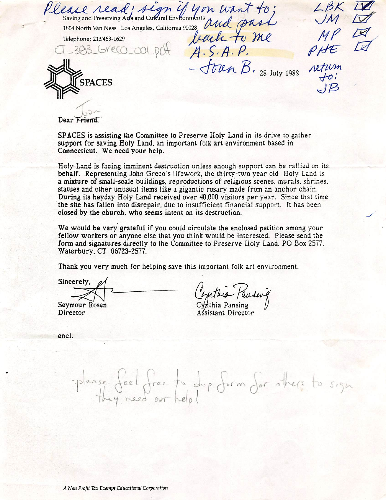Saving and Preserving Arls and Cuffural Environments  $\Lambda$   $\Lambda$ 1804 North Van Ness Los Angeles, California 90028 Telephone: 213/463-1629<br>  $T = 383$  GYell on plf  $A$ , S.A.P.  $-$  Toun  $\beta$ . 28 July 1988 **SPACES**  $LBK$  $\bigcup M$  $MP$ 

Dear Friend.

SPACES is assisting the Committee to Preserve Holy Land in its drive to gather support for saving Holy Land, an important folk art environment based in Connecticut. We need your help.

Hcly Land is facing imminent destruction unless enough support can be rallied on its behalf. Representing John Greco's lifework, the thirty-iwo year old Holy Land is a mixture of small-scale buildings, reproductions of religious scenes, murals, shrines, statues and other unusual items like a gigantic rosary made from an anchor chain. During its heyday Holy Land received over 40.000 visitors per year. Since that time the site has fallen into disrepair, due to insufficient financial support. It has been closed by the church, who seems intent on its destruction.

We would be very grateful if you could circulate the enclosed petition among your fellow workers or anyone else that you think would be interested. Please send the form and signatures directly to the Committee to Preserve Holy Land. PO Box 2577. Waierbury, CT 06723-2577.

Thank you very much for helping save this important folk art environment.

Sincerely, Seymour Rosen Director

Cynthia Pansing Assisiant Director

enci.

Pleese deel dree need our h  $\alpha$ u p  $\frac{\partial (m}{\partial x} \to 0$